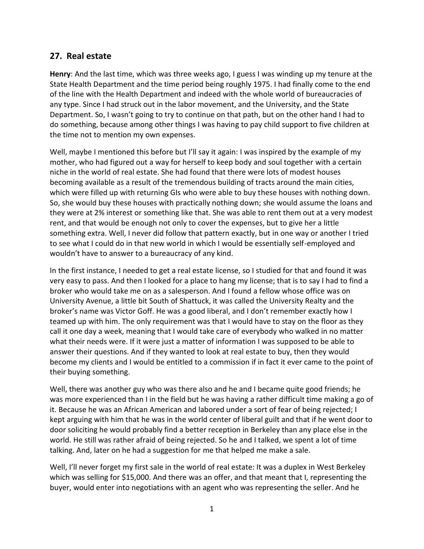## **27. Real estate**

**Henry**: And the last time, which was three weeks ago, I guess I was winding up my tenure at the State Health Department and the time period being roughly 1975. I had finally come to the end of the line with the Health Department and indeed with the whole world of bureaucracies of any type. Since I had struck out in the labor movement, and the University, and the State Department. So, I wasn't going to try to continue on that path, but on the other hand I had to do something, because among other things I was having to pay child support to five children at the time not to mention my own expenses.

Well, maybe I mentioned this before but I'll say it again: I was inspired by the example of my mother, who had figured out a way for herself to keep body and soul together with a certain niche in the world of real estate. She had found that there were lots of modest houses becoming available as a result of the tremendous building of tracts around the main cities, which were filled up with returning GIs who were able to buy these houses with nothing down. So, she would buy these houses with practically nothing down; she would assume the loans and they were at 2% interest or something like that. She was able to rent them out at a very modest rent, and that would be enough not only to cover the expenses, but to give her a little something extra. Well, I never did follow that pattern exactly, but in one way or another I tried to see what I could do in that new world in which I would be essentially self-employed and wouldn't have to answer to a bureaucracy of any kind.

In the first instance, I needed to get a real estate license, so I studied for that and found it was very easy to pass. And then I looked for a place to hang my license; that is to say I had to find a broker who would take me on as a salesperson. And I found a fellow whose office was on University Avenue, a little bit South of Shattuck, it was called the University Realty and the broker's name was Victor Goff. He was a good liberal, and I don't remember exactly how I teamed up with him. The only requirement was that I would have to stay on the floor as they call it one day a week, meaning that I would take care of everybody who walked in no matter what their needs were. If it were just a matter of information I was supposed to be able to answer their questions. And if they wanted to look at real estate to buy, then they would become my clients and I would be entitled to a commission if in fact it ever came to the point of their buying something.

Well, there was another guy who was there also and he and I became quite good friends; he was more experienced than I in the field but he was having a rather difficult time making a go of it. Because he was an African American and labored under a sort of fear of being rejected; I kept arguing with him that he was in the world center of liberal guilt and that if he went door to door soliciting he would probably find a better reception in Berkeley than any place else in the world. He still was rather afraid of being rejected. So he and I talked, we spent a lot of time talking. And, later on he had a suggestion for me that helped me make a sale.

Well, I'll never forget my first sale in the world of real estate: It was a duplex in West Berkeley which was selling for \$15,000. And there was an offer, and that meant that I, representing the buyer, would enter into negotiations with an agent who was representing the seller. And he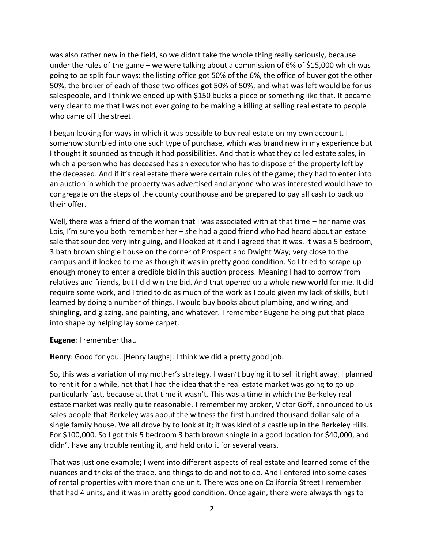was also rather new in the field, so we didn't take the whole thing really seriously, because under the rules of the game – we were talking about a commission of 6% of \$15,000 which was going to be split four ways: the listing office got 50% of the 6%, the office of buyer got the other 50%, the broker of each of those two offices got 50% of 50%, and what was left would be for us salespeople, and I think we ended up with \$150 bucks a piece or something like that. It became very clear to me that I was not ever going to be making a killing at selling real estate to people who came off the street.

I began looking for ways in which it was possible to buy real estate on my own account. I somehow stumbled into one such type of purchase, which was brand new in my experience but I thought it sounded as though it had possibilities. And that is what they called estate sales, in which a person who has deceased has an executor who has to dispose of the property left by the deceased. And if it's real estate there were certain rules of the game; they had to enter into an auction in which the property was advertised and anyone who was interested would have to congregate on the steps of the county courthouse and be prepared to pay all cash to back up their offer.

Well, there was a friend of the woman that I was associated with at that time – her name was Lois, I'm sure you both remember her – she had a good friend who had heard about an estate sale that sounded very intriguing, and I looked at it and I agreed that it was. It was a 5 bedroom, 3 bath brown shingle house on the corner of Prospect and Dwight Way; very close to the campus and it looked to me as though it was in pretty good condition. So I tried to scrape up enough money to enter a credible bid in this auction process. Meaning I had to borrow from relatives and friends, but I did win the bid. And that opened up a whole new world for me. It did require some work, and I tried to do as much of the work as I could given my lack of skills, but I learned by doing a number of things. I would buy books about plumbing, and wiring, and shingling, and glazing, and painting, and whatever. I remember Eugene helping put that place into shape by helping lay some carpet.

**Eugene**: I remember that.

**Henry**: Good for you. [Henry laughs]. I think we did a pretty good job.

So, this was a variation of my mother's strategy. I wasn't buying it to sell it right away. I planned to rent it for a while, not that I had the idea that the real estate market was going to go up particularly fast, because at that time it wasn't. This was a time in which the Berkeley real estate market was really quite reasonable. I remember my broker, Victor Goff, announced to us sales people that Berkeley was about the witness the first hundred thousand dollar sale of a single family house. We all drove by to look at it; it was kind of a castle up in the Berkeley Hills. For \$100,000. So I got this 5 bedroom 3 bath brown shingle in a good location for \$40,000, and didn't have any trouble renting it, and held onto it for several years.

That was just one example; I went into different aspects of real estate and learned some of the nuances and tricks of the trade, and things to do and not to do. And I entered into some cases of rental properties with more than one unit. There was one on California Street I remember that had 4 units, and it was in pretty good condition. Once again, there were always things to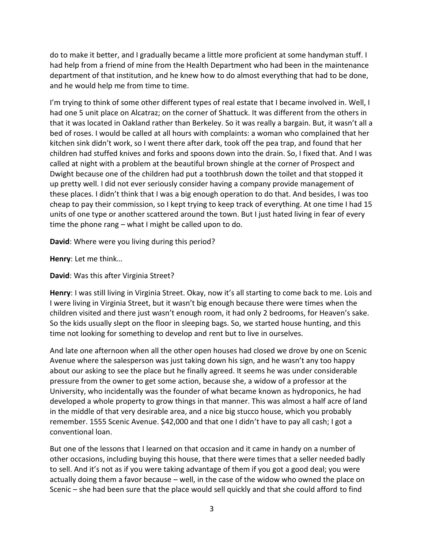do to make it better, and I gradually became a little more proficient at some handyman stuff. I had help from a friend of mine from the Health Department who had been in the maintenance department of that institution, and he knew how to do almost everything that had to be done, and he would help me from time to time.

I'm trying to think of some other different types of real estate that I became involved in. Well, I had one 5 unit place on Alcatraz; on the corner of Shattuck. It was different from the others in that it was located in Oakland rather than Berkeley. So it was really a bargain. But, it wasn't all a bed of roses. I would be called at all hours with complaints: a woman who complained that her kitchen sink didn't work, so I went there after dark, took off the pea trap, and found that her children had stuffed knives and forks and spoons down into the drain. So, I fixed that. And I was called at night with a problem at the beautiful brown shingle at the corner of Prospect and Dwight because one of the children had put a toothbrush down the toilet and that stopped it up pretty well. I did not ever seriously consider having a company provide management of these places. I didn't think that I was a big enough operation to do that. And besides, I was too cheap to pay their commission, so I kept trying to keep track of everything. At one time I had 15 units of one type or another scattered around the town. But I just hated living in fear of every time the phone rang – what I might be called upon to do.

**David**: Where were you living during this period?

**Henry**: Let me think…

**David**: Was this after Virginia Street?

**Henry**: I was still living in Virginia Street. Okay, now it's all starting to come back to me. Lois and I were living in Virginia Street, but it wasn't big enough because there were times when the children visited and there just wasn't enough room, it had only 2 bedrooms, for Heaven's sake. So the kids usually slept on the floor in sleeping bags. So, we started house hunting, and this time not looking for something to develop and rent but to live in ourselves.

And late one afternoon when all the other open houses had closed we drove by one on Scenic Avenue where the salesperson was just taking down his sign, and he wasn't any too happy about our asking to see the place but he finally agreed. It seems he was under considerable pressure from the owner to get some action, because she, a widow of a professor at the University, who incidentally was the founder of what became known as hydroponics, he had developed a whole property to grow things in that manner. This was almost a half acre of land in the middle of that very desirable area, and a nice big stucco house, which you probably remember. 1555 Scenic Avenue. \$42,000 and that one I didn't have to pay all cash; I got a conventional loan.

But one of the lessons that I learned on that occasion and it came in handy on a number of other occasions, including buying this house, that there were times that a seller needed badly to sell. And it's not as if you were taking advantage of them if you got a good deal; you were actually doing them a favor because – well, in the case of the widow who owned the place on Scenic – she had been sure that the place would sell quickly and that she could afford to find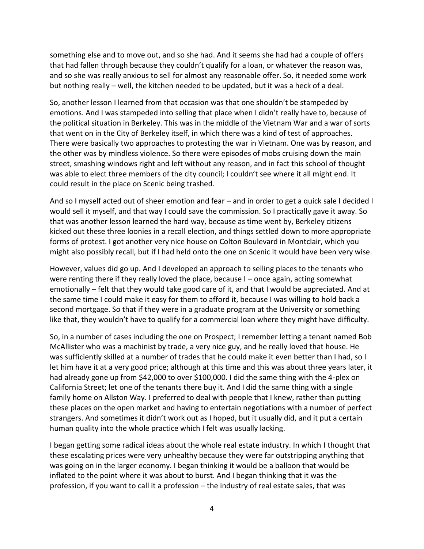something else and to move out, and so she had. And it seems she had had a couple of offers that had fallen through because they couldn't qualify for a loan, or whatever the reason was, and so she was really anxious to sell for almost any reasonable offer. So, it needed some work but nothing really – well, the kitchen needed to be updated, but it was a heck of a deal.

So, another lesson I learned from that occasion was that one shouldn't be stampeded by emotions. And I was stampeded into selling that place when I didn't really have to, because of the political situation in Berkeley. This was in the middle of the Vietnam War and a war of sorts that went on in the City of Berkeley itself, in which there was a kind of test of approaches. There were basically two approaches to protesting the war in Vietnam. One was by reason, and the other was by mindless violence. So there were episodes of mobs cruising down the main street, smashing windows right and left without any reason, and in fact this school of thought was able to elect three members of the city council; I couldn't see where it all might end. It could result in the place on Scenic being trashed.

And so I myself acted out of sheer emotion and fear – and in order to get a quick sale I decided I would sell it myself, and that way I could save the commission. So I practically gave it away. So that was another lesson learned the hard way, because as time went by, Berkeley citizens kicked out these three loonies in a recall election, and things settled down to more appropriate forms of protest. I got another very nice house on Colton Boulevard in Montclair, which you might also possibly recall, but if I had held onto the one on Scenic it would have been very wise.

However, values did go up. And I developed an approach to selling places to the tenants who were renting there if they really loved the place, because I – once again, acting somewhat emotionally – felt that they would take good care of it, and that I would be appreciated. And at the same time I could make it easy for them to afford it, because I was willing to hold back a second mortgage. So that if they were in a graduate program at the University or something like that, they wouldn't have to qualify for a commercial loan where they might have difficulty.

So, in a number of cases including the one on Prospect; I remember letting a tenant named Bob McAllister who was a machinist by trade, a very nice guy, and he really loved that house. He was sufficiently skilled at a number of trades that he could make it even better than I had, so I let him have it at a very good price; although at this time and this was about three years later, it had already gone up from \$42,000 to over \$100,000. I did the same thing with the 4-plex on California Street; let one of the tenants there buy it. And I did the same thing with a single family home on Allston Way. I preferred to deal with people that I knew, rather than putting these places on the open market and having to entertain negotiations with a number of perfect strangers. And sometimes it didn't work out as I hoped, but it usually did, and it put a certain human quality into the whole practice which I felt was usually lacking.

I began getting some radical ideas about the whole real estate industry. In which I thought that these escalating prices were very unhealthy because they were far outstripping anything that was going on in the larger economy. I began thinking it would be a balloon that would be inflated to the point where it was about to burst. And I began thinking that it was the profession, if you want to call it a profession – the industry of real estate sales, that was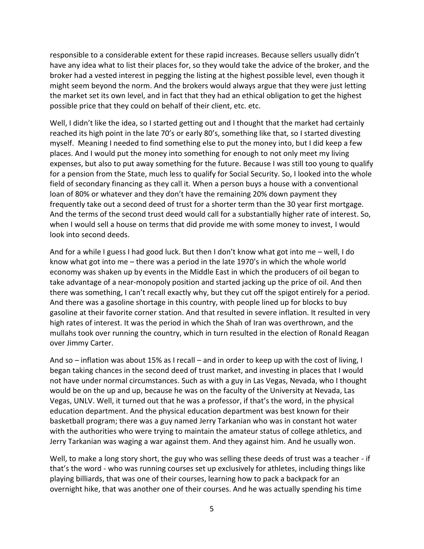responsible to a considerable extent for these rapid increases. Because sellers usually didn't have any idea what to list their places for, so they would take the advice of the broker, and the broker had a vested interest in pegging the listing at the highest possible level, even though it might seem beyond the norm. And the brokers would always argue that they were just letting the market set its own level, and in fact that they had an ethical obligation to get the highest possible price that they could on behalf of their client, etc. etc.

Well, I didn't like the idea, so I started getting out and I thought that the market had certainly reached its high point in the late 70's or early 80's, something like that, so I started divesting myself. Meaning I needed to find something else to put the money into, but I did keep a few places. And I would put the money into something for enough to not only meet my living expenses, but also to put away something for the future. Because I was still too young to qualify for a pension from the State, much less to qualify for Social Security. So, I looked into the whole field of secondary financing as they call it. When a person buys a house with a conventional loan of 80% or whatever and they don't have the remaining 20% down payment they frequently take out a second deed of trust for a shorter term than the 30 year first mortgage. And the terms of the second trust deed would call for a substantially higher rate of interest. So, when I would sell a house on terms that did provide me with some money to invest, I would look into second deeds.

And for a while I guess I had good luck. But then I don't know what got into me – well, I do know what got into me – there was a period in the late 1970's in which the whole world economy was shaken up by events in the Middle East in which the producers of oil began to take advantage of a near-monopoly position and started jacking up the price of oil. And then there was something, I can't recall exactly why, but they cut off the spigot entirely for a period. And there was a gasoline shortage in this country, with people lined up for blocks to buy gasoline at their favorite corner station. And that resulted in severe inflation. It resulted in very high rates of interest. It was the period in which the Shah of Iran was overthrown, and the mullahs took over running the country, which in turn resulted in the election of Ronald Reagan over Jimmy Carter.

And so – inflation was about 15% as I recall – and in order to keep up with the cost of living, I began taking chances in the second deed of trust market, and investing in places that I would not have under normal circumstances. Such as with a guy in Las Vegas, Nevada, who I thought would be on the up and up, because he was on the faculty of the University at Nevada, Las Vegas, UNLV. Well, it turned out that he was a professor, if that's the word, in the physical education department. And the physical education department was best known for their basketball program; there was a guy named Jerry Tarkanian who was in constant hot water with the authorities who were trying to maintain the amateur status of college athletics, and Jerry Tarkanian was waging a war against them. And they against him. And he usually won.

Well, to make a long story short, the guy who was selling these deeds of trust was a teacher - if that's the word - who was running courses set up exclusively for athletes, including things like playing billiards, that was one of their courses, learning how to pack a backpack for an overnight hike, that was another one of their courses. And he was actually spending his time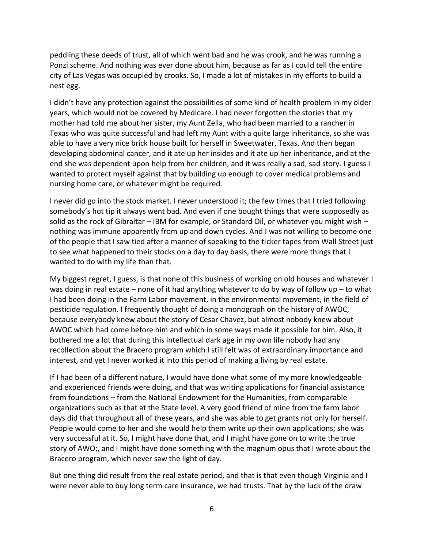peddling these deeds of trust, all of which went bad and he was crook, and he was running a Ponzi scheme. And nothing was ever done about him, because as far as I could tell the entire city of Las Vegas was occupied by crooks. So, I made a lot of mistakes in my efforts to build a nest egg.

I didn't have any protection against the possibilities of some kind of health problem in my older years, which would not be covered by Medicare. I had never forgotten the stories that my mother had told me about her sister, my Aunt Zella, who had been married to a rancher in Texas who was quite successful and had left my Aunt with a quite large inheritance, so she was able to have a very nice brick house built for herself in Sweetwater, Texas. And then began developing abdominal cancer, and it ate up her insides and it ate up her inheritance, and at the end she was dependent upon help from her children, and it was really a sad, sad story. I guess I wanted to protect myself against that by building up enough to cover medical problems and nursing home care, or whatever might be required.

I never did go into the stock market. I never understood it; the few times that I tried following somebody's hot tip it always went bad. And even if one bought things that were supposedly as solid as the rock of Gibraltar – IBM for example, or Standard Oil, or whatever you might wish – nothing was immune apparently from up and down cycles. And I was not willing to become one of the people that I saw tied after a manner of speaking to the ticker tapes from Wall Street just to see what happened to their stocks on a day to day basis, there were more things that I wanted to do with my life than that.

My biggest regret, I guess, is that none of this business of working on old houses and whatever I was doing in real estate – none of it had anything whatever to do by way of follow up – to what I had been doing in the Farm Labor movement, in the environmental movement, in the field of pesticide regulation. I frequently thought of doing a monograph on the history of AWOC, because everybody knew about the story of Cesar Chavez, but almost nobody knew about AWOC which had come before him and which in some ways made it possible for him. Also, it bothered me a lot that during this intellectual dark age in my own life nobody had any recollection about the Bracero program which I still felt was of extraordinary importance and interest, and yet I never worked it into this period of making a living by real estate.

If I had been of a different nature, I would have done what some of my more knowledgeable and experienced friends were doing, and that was writing applications for financial assistance from foundations – from the National Endowment for the Humanities, from comparable organizations such as that at the State level. A very good friend of mine from the farm labor days did that throughout all of these years, and she was able to get grants not only for herself. People would come to her and she would help them write up their own applications; she was very successful at it. So, I might have done that, and I might have gone on to write the true story of AWO;, and I might have done something with the magnum opus that I wrote about the Bracero program, which never saw the light of day.

But one thing did result from the real estate period, and that is that even though Virginia and I were never able to buy long term care insurance, we had trusts. That by the luck of the draw